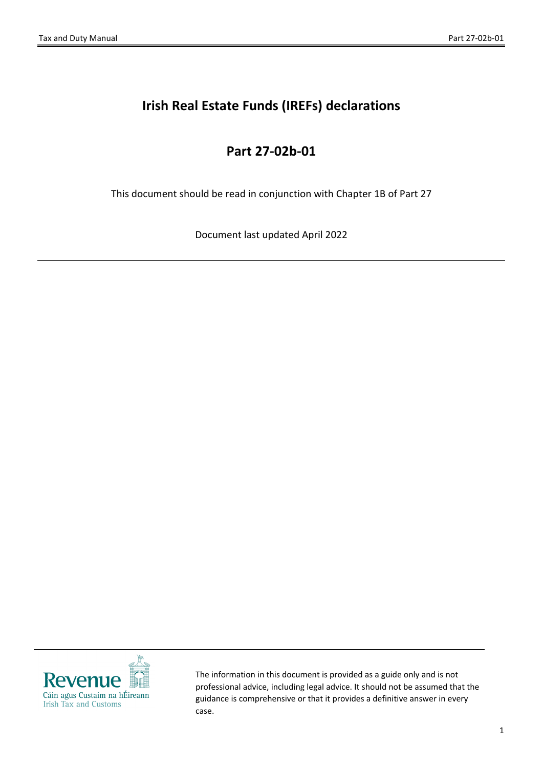# **Irish Real Estate Funds (IREFs) declarations**

### **Part 27-02b-01**

This document should be read in conjunction with Chapter 1B of Part 27

Document last updated April 2022



The information in this document is provided as a guide only and is not professional advice, including legal advice. It should not be assumed that the guidance is comprehensive or that it provides a definitive answer in every case.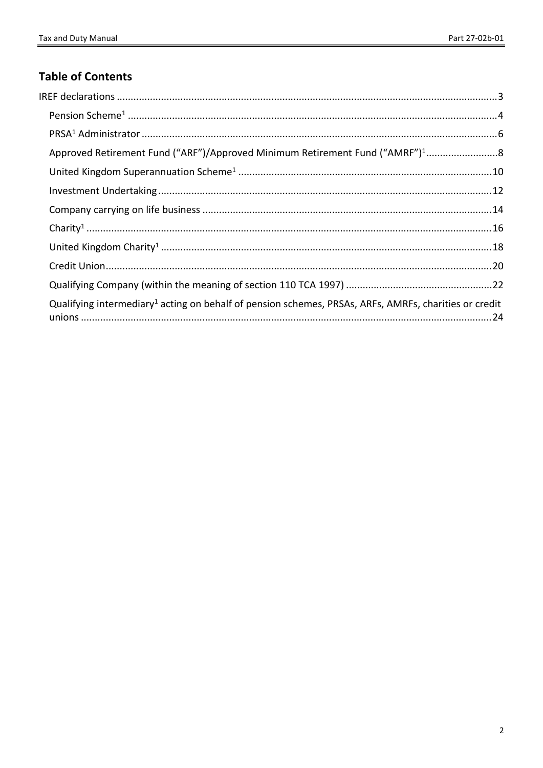### **Table of Contents**

| Approved Retirement Fund ("ARF")/Approved Minimum Retirement Fund ("AMRF") <sup>1</sup> 8                         |  |
|-------------------------------------------------------------------------------------------------------------------|--|
|                                                                                                                   |  |
|                                                                                                                   |  |
|                                                                                                                   |  |
|                                                                                                                   |  |
|                                                                                                                   |  |
|                                                                                                                   |  |
|                                                                                                                   |  |
| Qualifying intermediary <sup>1</sup> acting on behalf of pension schemes, PRSAs, ARFs, AMRFs, charities or credit |  |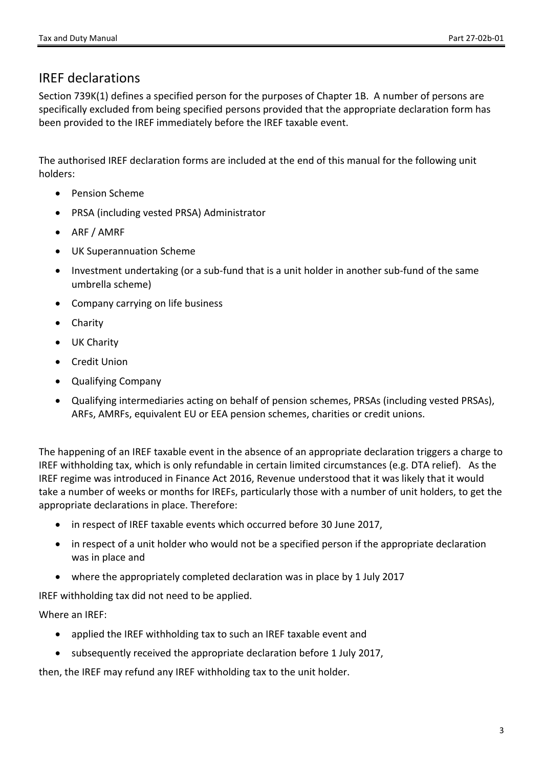### <span id="page-2-0"></span>IREF declarations

Section 739K(1) defines a specified person for the purposes of Chapter 1B. A number of persons are specifically excluded from being specified persons provided that the appropriate declaration form has been provided to the IREF immediately before the IREF taxable event.

The authorised IREF declaration forms are included at the end of this manual for the following unit holders:

- Pension Scheme
- PRSA (including vested PRSA) Administrator
- ARF / AMRF
- UK Superannuation Scheme
- Investment undertaking (or a sub-fund that is a unit holder in another sub-fund of the same umbrella scheme)
- Company carrying on life business
- Charity
- UK Charity
- Credit Union
- Qualifying Company
- Qualifying intermediaries acting on behalf of pension schemes, PRSAs (including vested PRSAs), ARFs, AMRFs, equivalent EU or EEA pension schemes, charities or credit unions.

The happening of an IREF taxable event in the absence of an appropriate declaration triggers a charge to IREF withholding tax, which is only refundable in certain limited circumstances (e.g. DTA relief). As the IREF regime was introduced in Finance Act 2016, Revenue understood that it was likely that it would take a number of weeks or months for IREFs, particularly those with a number of unit holders, to get the appropriate declarations in place. Therefore:

- in respect of IREF taxable events which occurred before 30 June 2017,
- in respect of a unit holder who would not be a specified person if the appropriate declaration was in place and
- where the appropriately completed declaration was in place by 1 July 2017

IREF withholding tax did not need to be applied.

Where an IREF:

- applied the IREF withholding tax to such an IREF taxable event and
- subsequently received the appropriate declaration before 1 July 2017,

then, the IREF may refund any IREF withholding tax to the unit holder.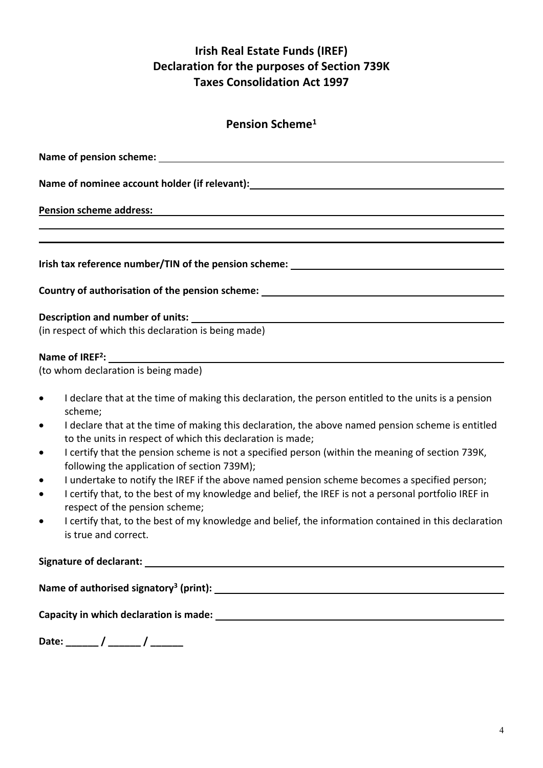<span id="page-3-0"></span>

| Pension Scheme <sup>1</sup> |
|-----------------------------|
|                             |

| Name of nominee account holder (if relevant): __________________________________                                             |
|------------------------------------------------------------------------------------------------------------------------------|
| Pension scheme address: National Assembly of Pension Scheme and The Pension Scheme and The Pension Scheme and T              |
| ,我们也不会有什么。""我们的人,我们也不会有什么?""我们的人,我们也不会有什么?""我们的人,我们也不会有什么?""我们的人,我们也不会有什么?""我们的人                                             |
| Irish tax reference number/TIN of the pension scheme: ___________________________                                            |
| Country of authorisation of the pension scheme: ________________________________                                             |
|                                                                                                                              |
| (in respect of which this declaration is being made)                                                                         |
|                                                                                                                              |
| (to whom declaration is being made)                                                                                          |
| I declare that at the time of making this declaration, the person entitled to the units is a pension<br>$\bullet$<br>scheme; |
| • I declare that at the time of making this declaration, the above named pension scheme is entitled                          |

- to the units in respect of which this declaration is made; I certify that the pension scheme is not a specified person (within the meaning of section 739K, following the application of section 739M);
- I undertake to notify the IREF if the above named pension scheme becomes a specified person;
- I certify that, to the best of my knowledge and belief, the IREF is not a personal portfolio IREF in respect of the pension scheme;
- I certify that, to the best of my knowledge and belief, the information contained in this declaration is true and correct.

**Signature of declarant:**

**Name of authorised signatory<sup>3</sup> (print):**

**Capacity in which declaration is made:**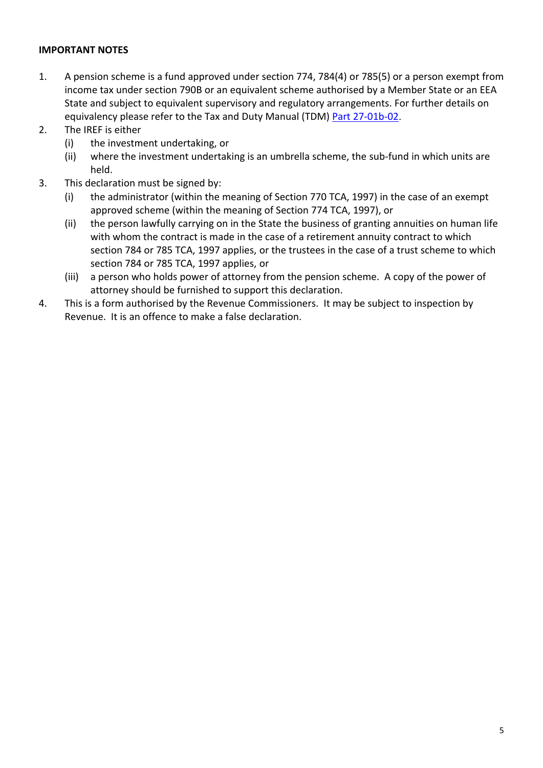- 1. A pension scheme is a fund approved under section 774, 784(4) or 785(5) or a person exempt from income tax under section 790B or an equivalent scheme authorised by a Member State or an EEA State and subject to equivalent supervisory and regulatory arrangements. For further details on equivalency please refer to the Tax and Duty Manual (TDM) [Part](https://www.revenue.ie/en/tax-professionals/tdm/income-tax-capital-gains-tax-corporation-tax/part-27/27-01b-02.pdf) [27-01b-02](https://www.revenue.ie/en/tax-professionals/tdm/income-tax-capital-gains-tax-corporation-tax/part-27/27-01b-02.pdf).
- 2. The IREF is either
	- (i) the investment undertaking, or
	- (ii) where the investment undertaking is an umbrella scheme, the sub-fund in which units are held.
- 3. This declaration must be signed by:
	- (i) the administrator (within the meaning of Section 770 TCA, 1997) in the case of an exempt approved scheme (within the meaning of Section 774 TCA, 1997), or
	- (ii) the person lawfully carrying on in the State the business of granting annuities on human life with whom the contract is made in the case of a retirement annuity contract to which section 784 or 785 TCA, 1997 applies, or the trustees in the case of a trust scheme to which section 784 or 785 TCA, 1997 applies, or
	- (iii) a person who holds power of attorney from the pension scheme. A copy of the power of attorney should be furnished to support this declaration.
- 4. This is a form authorised by the Revenue Commissioners. It may be subject to inspection by Revenue. It is an offence to make a false declaration.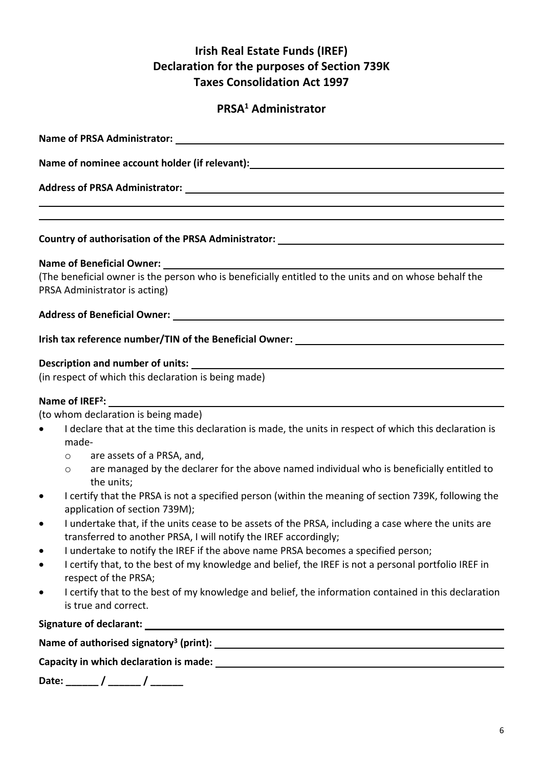## <span id="page-5-0"></span>**PRSA<sup>1</sup> Administrator**

| Name of nominee account holder (if relevant): __________________________________                                                                                                     |  |  |
|--------------------------------------------------------------------------------------------------------------------------------------------------------------------------------------|--|--|
|                                                                                                                                                                                      |  |  |
|                                                                                                                                                                                      |  |  |
| ,我们也不会有什么。""我们的人,我们也不会有什么?""我们的人,我们也不会有什么?""我们的人,我们也不会有什么?""我们的人,我们也不会有什么?""我们的人                                                                                                     |  |  |
| Country of authorisation of the PRSA Administrator: ____________________________                                                                                                     |  |  |
| Name of Beneficial Owner: __________                                                                                                                                                 |  |  |
| (The beneficial owner is the person who is beneficially entitled to the units and on whose behalf the<br>PRSA Administrator is acting)                                               |  |  |
| Address of Beneficial Owner: North American Section 1997 and 2008 and 2008 and 2008 and 2008 and 2008 and 2008                                                                       |  |  |
| Irish tax reference number/TIN of the Beneficial Owner: ________________________                                                                                                     |  |  |
|                                                                                                                                                                                      |  |  |
| Description and number of units:<br>(in respect of which this declaration is being made)                                                                                             |  |  |
|                                                                                                                                                                                      |  |  |
| Name of IREF <sup>2</sup> :<br>the control of the control of the control of the control of the control of the control of                                                             |  |  |
| (to whom declaration is being made)                                                                                                                                                  |  |  |
| I declare that at the time this declaration is made, the units in respect of which this declaration is<br>made-                                                                      |  |  |
| are assets of a PRSA, and,<br>$\circ$                                                                                                                                                |  |  |
| are managed by the declarer for the above named individual who is beneficially entitled to<br>$\circ$<br>the units;                                                                  |  |  |
| I certify that the PRSA is not a specified person (within the meaning of section 739K, following the<br>$\bullet$<br>application of section 739M);                                   |  |  |
| I undertake that, if the units cease to be assets of the PRSA, including a case where the units are<br>$\bullet$<br>transferred to another PRSA, I will notify the IREF accordingly; |  |  |
| I undertake to notify the IREF if the above name PRSA becomes a specified person;<br>$\bullet$                                                                                       |  |  |
| I certify that, to the best of my knowledge and belief, the IREF is not a personal portfolio IREF in<br>$\bullet$<br>respect of the PRSA;                                            |  |  |
| I certify that to the best of my knowledge and belief, the information contained in this declaration<br>$\bullet$<br>is true and correct.                                            |  |  |
|                                                                                                                                                                                      |  |  |
|                                                                                                                                                                                      |  |  |
|                                                                                                                                                                                      |  |  |
| Date: ______ / ______ / ______                                                                                                                                                       |  |  |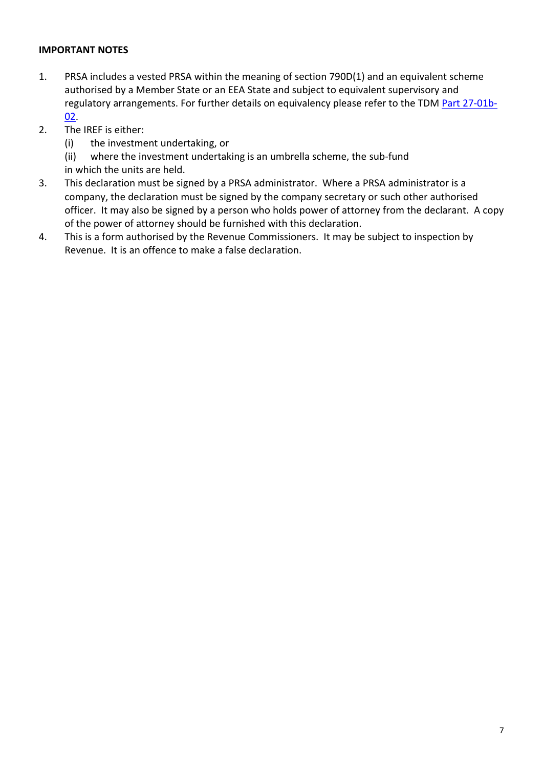- 1. PRSA includes a vested PRSA within the meaning of section 790D(1) and an equivalent scheme authorised by a Member State or an EEA State and subject to equivalent supervisory and regulatory arrangements. For further details on equivalency please refer to the TDM [Part](https://www.revenue.ie/en/tax-professionals/tdm/income-tax-capital-gains-tax-corporation-tax/part-27/27-01b-02.pdf) [27-01b-](https://www.revenue.ie/en/tax-professionals/tdm/income-tax-capital-gains-tax-corporation-tax/part-27/27-01b-02.pdf)[02](https://www.revenue.ie/en/tax-professionals/tdm/income-tax-capital-gains-tax-corporation-tax/part-27/27-01b-02.pdf).
- 2. The IREF is either:
	- (i) the investment undertaking, or

(ii) where the investment undertaking is an umbrella scheme, the sub-fund in which the units are held.

- 3. This declaration must be signed by a PRSA administrator. Where a PRSA administrator is a company, the declaration must be signed by the company secretary or such other authorised officer. It may also be signed by a person who holds power of attorney from the declarant. A copy of the power of attorney should be furnished with this declaration.
- 4. This is a form authorised by the Revenue Commissioners. It may be subject to inspection by Revenue. It is an offence to make a false declaration.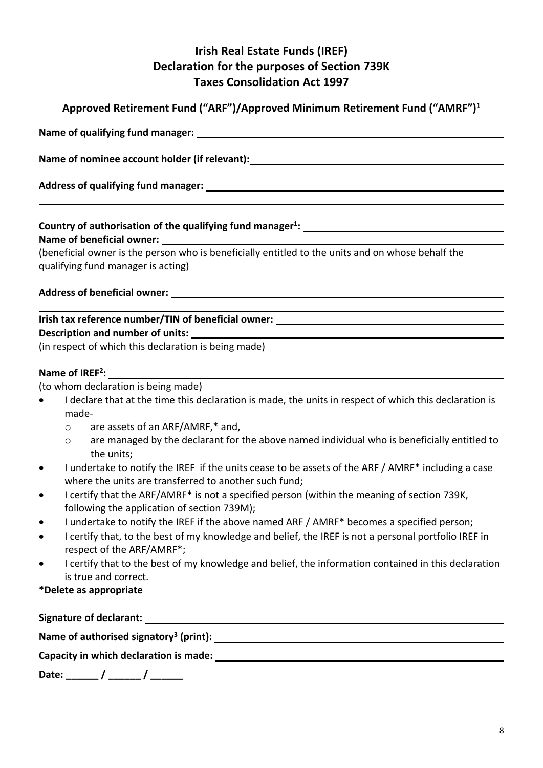<span id="page-7-0"></span>

| Approved Retirement Fund ("ARF")/Approved Minimum Retirement Fund ("AMRF") <sup>1</sup>                             |
|---------------------------------------------------------------------------------------------------------------------|
|                                                                                                                     |
| Name of nominee account holder (if relevant): Name is a series of the series of the series of the series of the     |
|                                                                                                                     |
|                                                                                                                     |
| (beneficial owner is the person who is beneficially entitled to the units and on whose behalf the                   |
| qualifying fund manager is acting)                                                                                  |
|                                                                                                                     |
|                                                                                                                     |
|                                                                                                                     |
| (in respect of which this declaration is being made)                                                                |
|                                                                                                                     |
| (to whom declaration is being made)                                                                                 |
| I declare that at the time this declaration is made, the units in respect of which this declaration is<br>$\bullet$ |
| made-                                                                                                               |
| o are assets of an ARF/AMRF,* and,                                                                                  |
| are managed by the declarant for the above named individual who is beneficially entitled to<br>$\circ$              |
| the units;                                                                                                          |

- where the units are transferred to another such fund; I certify that the ARF/AMRF\* is not a specified person (within the meaning of section 739K, following the application of section 739M);
- I undertake to notify the IREF if the above named ARF / AMRF\* becomes a specified person;
- I certify that, to the best of my knowledge and belief, the IREF is not a personal portfolio IREF in respect of the ARF/AMRF\*;
- I certify that to the best of my knowledge and belief, the information contained in this declaration is true and correct.

### **\*Delete as appropriate**

| <b>Signature of declarant:</b>                     |  |
|----------------------------------------------------|--|
| Name of authorised signatory <sup>3</sup> (print): |  |
| Capacity in which declaration is made:             |  |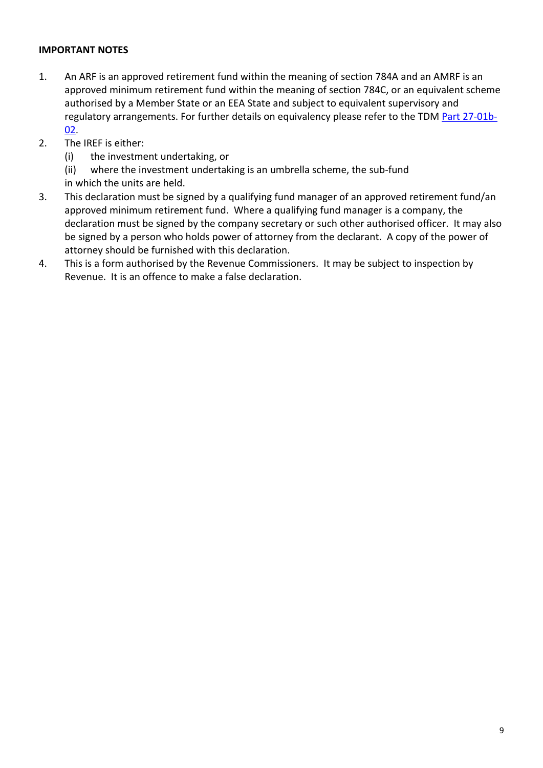- 1. An ARF is an approved retirement fund within the meaning of section 784A and an AMRF is an approved minimum retirement fund within the meaning of section 784C, or an equivalent scheme authorised by a Member State or an EEA State and subject to equivalent supervisory and regulatory arrangements. For further details on equivalency please refer to the TDM [Part](https://www.revenue.ie/en/tax-professionals/tdm/income-tax-capital-gains-tax-corporation-tax/part-27/27-01b-02.pdf) [27-01b-](https://www.revenue.ie/en/tax-professionals/tdm/income-tax-capital-gains-tax-corporation-tax/part-27/27-01b-02.pdf)[02](https://www.revenue.ie/en/tax-professionals/tdm/income-tax-capital-gains-tax-corporation-tax/part-27/27-01b-02.pdf).
- 2. The IREF is either:
	- (i) the investment undertaking, or
	- (ii) where the investment undertaking is an umbrella scheme, the sub-fund in which the units are held.
- 3. This declaration must be signed by a qualifying fund manager of an approved retirement fund/an approved minimum retirement fund. Where a qualifying fund manager is a company, the declaration must be signed by the company secretary or such other authorised officer. It may also be signed by a person who holds power of attorney from the declarant. A copy of the power of attorney should be furnished with this declaration.
- 4. This is a form authorised by the Revenue Commissioners. It may be subject to inspection by Revenue. It is an offence to make a false declaration.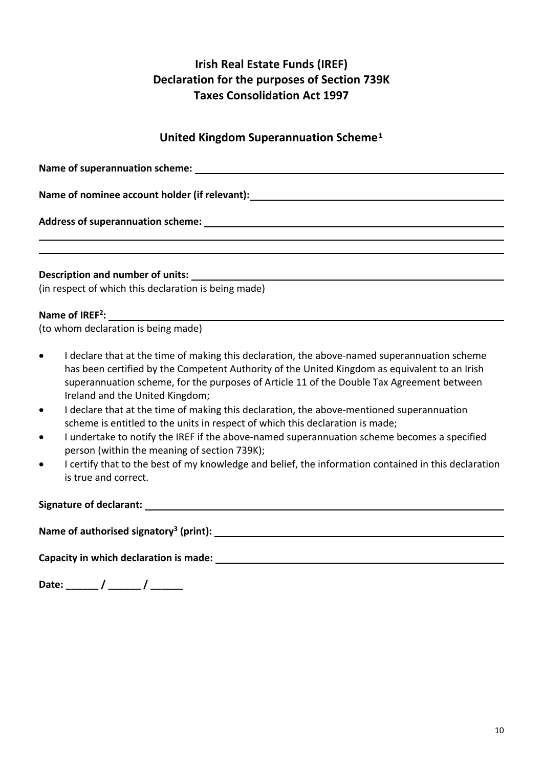# <span id="page-9-0"></span>**United Kingdom Superannuation Scheme<sup>1</sup>**

| Name of superannuation scheme: Name of superannuation scheme:                                                                                                                                                                                                                                                                                                                                                                                                                                                                                                                                                                                                                                                                                                                                                                                  |
|------------------------------------------------------------------------------------------------------------------------------------------------------------------------------------------------------------------------------------------------------------------------------------------------------------------------------------------------------------------------------------------------------------------------------------------------------------------------------------------------------------------------------------------------------------------------------------------------------------------------------------------------------------------------------------------------------------------------------------------------------------------------------------------------------------------------------------------------|
| Name of nominee account holder (if relevant):___________________________________                                                                                                                                                                                                                                                                                                                                                                                                                                                                                                                                                                                                                                                                                                                                                               |
|                                                                                                                                                                                                                                                                                                                                                                                                                                                                                                                                                                                                                                                                                                                                                                                                                                                |
|                                                                                                                                                                                                                                                                                                                                                                                                                                                                                                                                                                                                                                                                                                                                                                                                                                                |
|                                                                                                                                                                                                                                                                                                                                                                                                                                                                                                                                                                                                                                                                                                                                                                                                                                                |
|                                                                                                                                                                                                                                                                                                                                                                                                                                                                                                                                                                                                                                                                                                                                                                                                                                                |
| (in respect of which this declaration is being made)                                                                                                                                                                                                                                                                                                                                                                                                                                                                                                                                                                                                                                                                                                                                                                                           |
| Name of IREF <sup>2</sup> :                                                                                                                                                                                                                                                                                                                                                                                                                                                                                                                                                                                                                                                                                                                                                                                                                    |
| (to whom declaration is being made)                                                                                                                                                                                                                                                                                                                                                                                                                                                                                                                                                                                                                                                                                                                                                                                                            |
| I declare that at the time of making this declaration, the above-named superannuation scheme<br>$\bullet$<br>has been certified by the Competent Authority of the United Kingdom as equivalent to an Irish<br>superannuation scheme, for the purposes of Article 11 of the Double Tax Agreement between<br>Ireland and the United Kingdom;<br>I declare that at the time of making this declaration, the above-mentioned superannuation<br>$\bullet$<br>scheme is entitled to the units in respect of which this declaration is made;<br>I undertake to notify the IREF if the above-named superannuation scheme becomes a specified<br>$\bullet$<br>person (within the meaning of section 739K);<br>I certify that to the best of my knowledge and belief, the information contained in this declaration<br>$\bullet$<br>is true and correct. |
|                                                                                                                                                                                                                                                                                                                                                                                                                                                                                                                                                                                                                                                                                                                                                                                                                                                |
|                                                                                                                                                                                                                                                                                                                                                                                                                                                                                                                                                                                                                                                                                                                                                                                                                                                |
| Capacity in which declaration is made:                                                                                                                                                                                                                                                                                                                                                                                                                                                                                                                                                                                                                                                                                                                                                                                                         |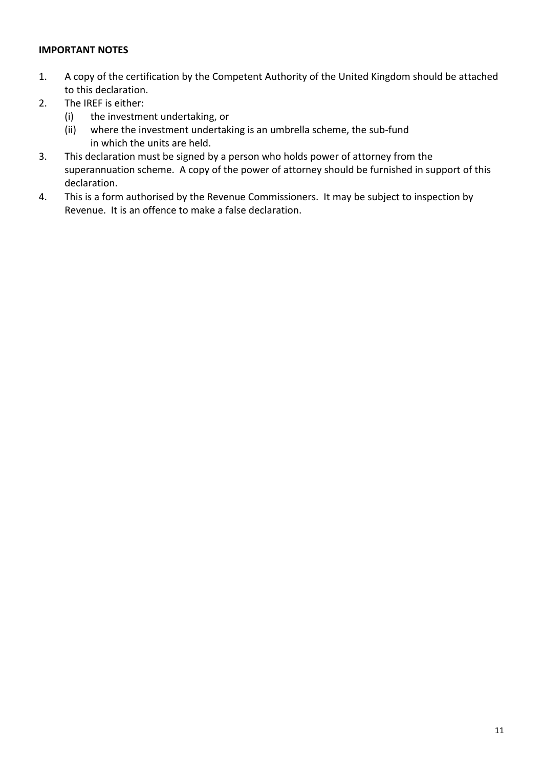- 1. A copy of the certification by the Competent Authority of the United Kingdom should be attached to this declaration.
- 2. The IREF is either:
	- (i) the investment undertaking, or
	- (ii) where the investment undertaking is an umbrella scheme, the sub-fund in which the units are held.
- 3. This declaration must be signed by a person who holds power of attorney from the superannuation scheme. A copy of the power of attorney should be furnished in support of this declaration.
- 4. This is a form authorised by the Revenue Commissioners. It may be subject to inspection by Revenue. It is an offence to make a false declaration.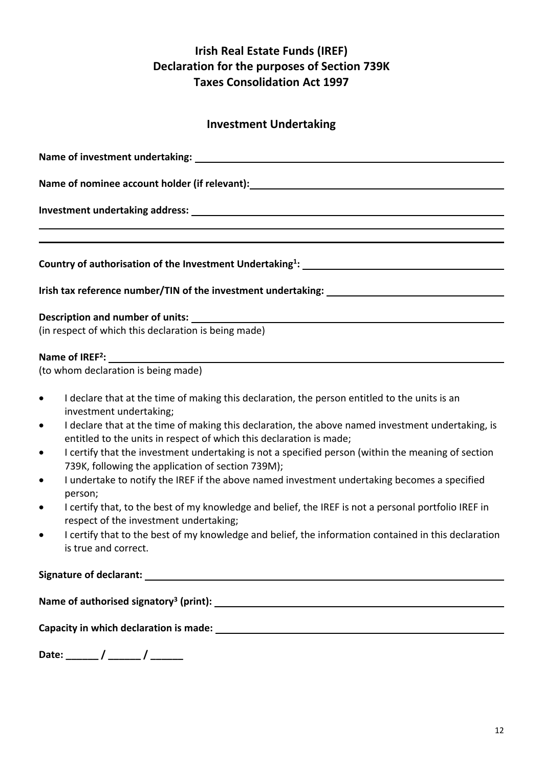### <span id="page-11-0"></span>**Investment Undertaking**

| Name of investment undertaking: Name of investment undertaking:                                                                                                                                                                                                                                                                                                                                                                                                                                                                                                                                                                                                                                                                                                                                                                                                                                                                            |
|--------------------------------------------------------------------------------------------------------------------------------------------------------------------------------------------------------------------------------------------------------------------------------------------------------------------------------------------------------------------------------------------------------------------------------------------------------------------------------------------------------------------------------------------------------------------------------------------------------------------------------------------------------------------------------------------------------------------------------------------------------------------------------------------------------------------------------------------------------------------------------------------------------------------------------------------|
| Name of nominee account holder (if relevant): __________________________________                                                                                                                                                                                                                                                                                                                                                                                                                                                                                                                                                                                                                                                                                                                                                                                                                                                           |
|                                                                                                                                                                                                                                                                                                                                                                                                                                                                                                                                                                                                                                                                                                                                                                                                                                                                                                                                            |
|                                                                                                                                                                                                                                                                                                                                                                                                                                                                                                                                                                                                                                                                                                                                                                                                                                                                                                                                            |
|                                                                                                                                                                                                                                                                                                                                                                                                                                                                                                                                                                                                                                                                                                                                                                                                                                                                                                                                            |
|                                                                                                                                                                                                                                                                                                                                                                                                                                                                                                                                                                                                                                                                                                                                                                                                                                                                                                                                            |
| Irish tax reference number/TIN of the investment undertaking: ___________________                                                                                                                                                                                                                                                                                                                                                                                                                                                                                                                                                                                                                                                                                                                                                                                                                                                          |
|                                                                                                                                                                                                                                                                                                                                                                                                                                                                                                                                                                                                                                                                                                                                                                                                                                                                                                                                            |
| (in respect of which this declaration is being made)                                                                                                                                                                                                                                                                                                                                                                                                                                                                                                                                                                                                                                                                                                                                                                                                                                                                                       |
|                                                                                                                                                                                                                                                                                                                                                                                                                                                                                                                                                                                                                                                                                                                                                                                                                                                                                                                                            |
| (to whom declaration is being made)                                                                                                                                                                                                                                                                                                                                                                                                                                                                                                                                                                                                                                                                                                                                                                                                                                                                                                        |
| I declare that at the time of making this declaration, the person entitled to the units is an<br>$\bullet$<br>investment undertaking;<br>I declare that at the time of making this declaration, the above named investment undertaking, is<br>$\bullet$<br>entitled to the units in respect of which this declaration is made;<br>I certify that the investment undertaking is not a specified person (within the meaning of section<br>$\bullet$<br>739K, following the application of section 739M);<br>I undertake to notify the IREF if the above named investment undertaking becomes a specified<br>$\bullet$<br>person;<br>I certify that, to the best of my knowledge and belief, the IREF is not a personal portfolio IREF in<br>$\bullet$<br>respect of the investment undertaking;<br>I certify that to the best of my knowledge and belief, the information contained in this declaration<br>$\bullet$<br>is true and correct. |
|                                                                                                                                                                                                                                                                                                                                                                                                                                                                                                                                                                                                                                                                                                                                                                                                                                                                                                                                            |
|                                                                                                                                                                                                                                                                                                                                                                                                                                                                                                                                                                                                                                                                                                                                                                                                                                                                                                                                            |
|                                                                                                                                                                                                                                                                                                                                                                                                                                                                                                                                                                                                                                                                                                                                                                                                                                                                                                                                            |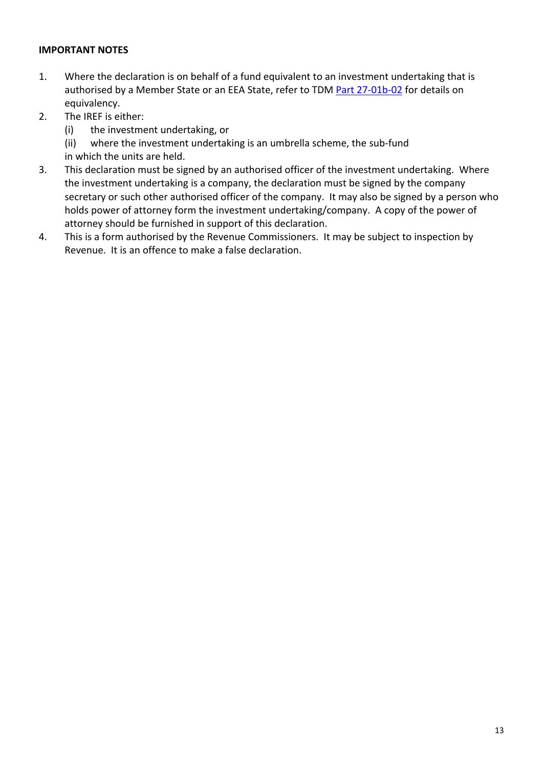- 1. Where the declaration is on behalf of a fund equivalent to an investment undertaking that is authorised by a Member State or an EEA State, refer to TDM [Part](https://www.revenue.ie/en/tax-professionals/tdm/income-tax-capital-gains-tax-corporation-tax/part-27/27-01b-02.pdf) [27-01b-02](https://www.revenue.ie/en/tax-professionals/tdm/income-tax-capital-gains-tax-corporation-tax/part-27/27-01b-02.pdf) for details on equivalency.
- 2. The IREF is either:
	- (i) the investment undertaking, or
	- (ii) where the investment undertaking is an umbrella scheme, the sub-fund
	- in which the units are held.
- 3. This declaration must be signed by an authorised officer of the investment undertaking. Where the investment undertaking is a company, the declaration must be signed by the company secretary or such other authorised officer of the company. It may also be signed by a person who holds power of attorney form the investment undertaking/company. A copy of the power of attorney should be furnished in support of this declaration.
- 4. This is a form authorised by the Revenue Commissioners. It may be subject to inspection by Revenue. It is an offence to make a false declaration.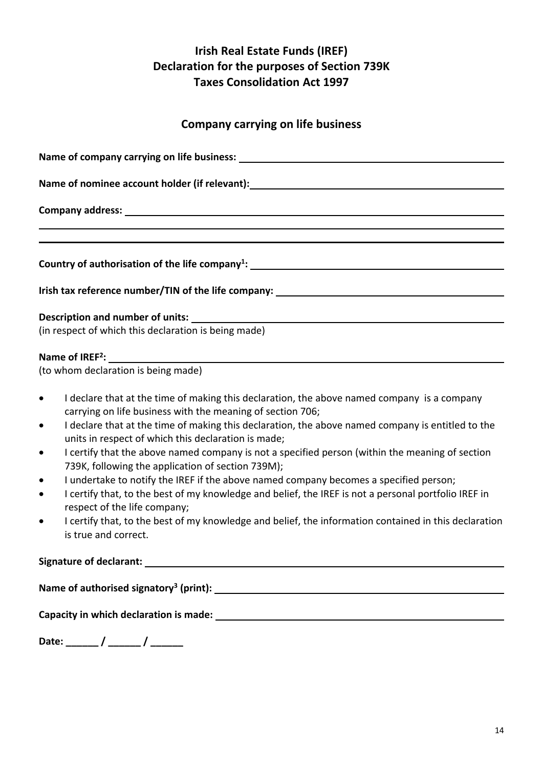### <span id="page-13-0"></span>**Company carrying on life business**

| Name of nominee account holder (if relevant): ___________________________________ |
|-----------------------------------------------------------------------------------|
|                                                                                   |
|                                                                                   |
|                                                                                   |
|                                                                                   |
|                                                                                   |
|                                                                                   |
| Irish tax reference number/TIN of the life company: _____________________________ |
|                                                                                   |
|                                                                                   |
| (in respect of which this declaration is being made)                              |
|                                                                                   |

#### **Name of IREF<sup>2</sup> :**

(to whom declaration is being made)

- I declare that at the time of making this declaration, the above named company is a company carrying on life business with the meaning of section 706;
- I declare that at the time of making this declaration, the above named company is entitled to the units in respect of which this declaration is made;
- I certify that the above named company is not a specified person (within the meaning of section 739K, following the application of section 739M);
- I undertake to notify the IREF if the above named company becomes a specified person;
- I certify that, to the best of my knowledge and belief, the IREF is not a personal portfolio IREF in respect of the life company;
- I certify that, to the best of my knowledge and belief, the information contained in this declaration is true and correct.

**Signature of declarant:**

**Name of authorised signatory<sup>3</sup> (print):**

**Capacity in which declaration is made:**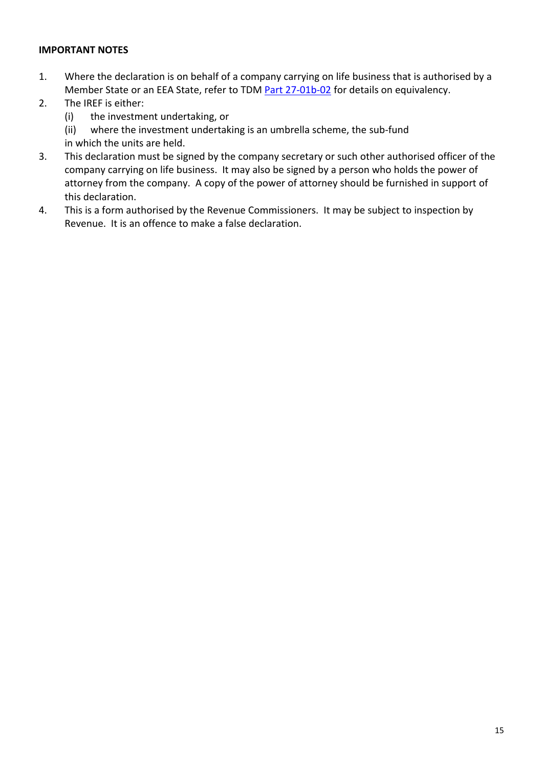- 1. Where the declaration is on behalf of a company carrying on life business that is authorised by a Member State or an EEA State, refer to TDM [Part](https://www.revenue.ie/en/tax-professionals/tdm/income-tax-capital-gains-tax-corporation-tax/part-27/27-01b-02.pdf) [27-01b-02](https://www.revenue.ie/en/tax-professionals/tdm/income-tax-capital-gains-tax-corporation-tax/part-27/27-01b-02.pdf) for details on equivalency.
- 2. The IREF is either:
	- (i) the investment undertaking, or
	- (ii) where the investment undertaking is an umbrella scheme, the sub-fund
	- in which the units are held.
- 3. This declaration must be signed by the company secretary or such other authorised officer of the company carrying on life business. It may also be signed by a person who holds the power of attorney from the company. A copy of the power of attorney should be furnished in support of this declaration.
- 4. This is a form authorised by the Revenue Commissioners. It may be subject to inspection by Revenue. It is an offence to make a false declaration.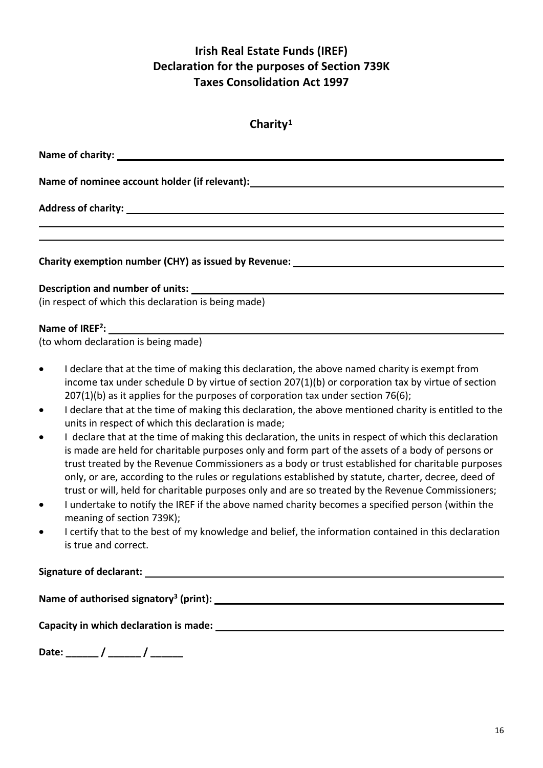<span id="page-15-0"></span>

| Charity <sup>1</sup>                                                                                                  |  |  |
|-----------------------------------------------------------------------------------------------------------------------|--|--|
|                                                                                                                       |  |  |
| Name of nominee account holder (if relevant):___________________________________                                      |  |  |
|                                                                                                                       |  |  |
| <u> 1989 - Johann Stoff, deutscher Stoff, der Stoff, der Stoff, der Stoff, der Stoff, der Stoff, der Stoff, der S</u> |  |  |
| Charity exemption number (CHY) as issued by Revenue: ___________________________                                      |  |  |
|                                                                                                                       |  |  |
| (in respect of which this declaration is being made)                                                                  |  |  |

### **Name of IREF<sup>2</sup> :**

(to whom declaration is being made)

- I declare that at the time of making this declaration, the above named charity is exempt from income tax under schedule D by virtue of section 207(1)(b) or corporation tax by virtue of section 207(1)(b) as it applies for the purposes of corporation tax under section 76(6);
- I declare that at the time of making this declaration, the above mentioned charity is entitled to the units in respect of which this declaration is made;
- I declare that at the time of making this declaration, the units in respect of which this declaration is made are held for charitable purposes only and form part of the assets of a body of persons or trust treated by the Revenue Commissioners as a body or trust established for charitable purposes only, or are, according to the rules or regulations established by statute, charter, decree, deed of trust or will, held for charitable purposes only and are so treated by the Revenue Commissioners;
- I undertake to notify the IREF if the above named charity becomes a specified person (within the meaning of section 739K);
- I certify that to the best of my knowledge and belief, the information contained in this declaration is true and correct.

#### **Signature of declarant:**

**Name of authorised signatory<sup>3</sup> (print):**

**Capacity in which declaration is made:**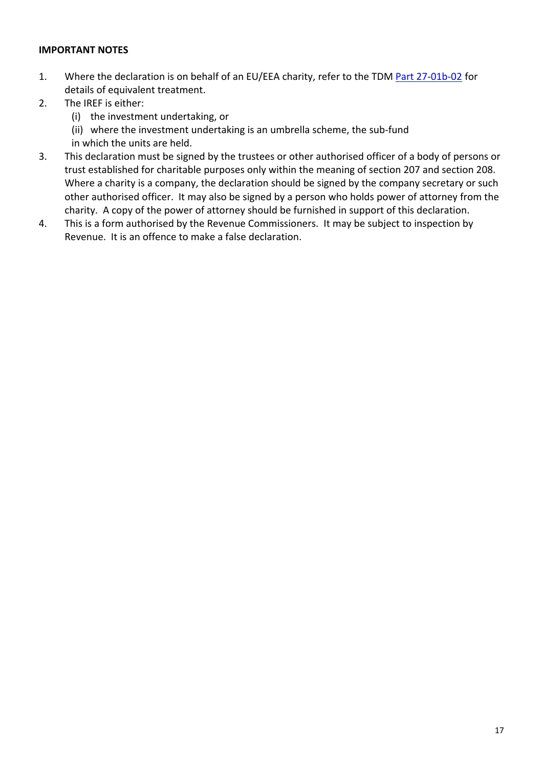- 1. Where the declaration is on behalf of an EU/EEA charity, refer to the TDM [Part](https://www.revenue.ie/en/tax-professionals/tdm/income-tax-capital-gains-tax-corporation-tax/part-27/27-01b-02.pdf) [27-01b-02](https://www.revenue.ie/en/tax-professionals/tdm/income-tax-capital-gains-tax-corporation-tax/part-27/27-01b-02.pdf) for details of equivalent treatment.
- 2. The IREF is either:
	- (i) the investment undertaking, or
	- (ii) where the investment undertaking is an umbrella scheme, the sub-fund
	- in which the units are held.
- 3. This declaration must be signed by the trustees or other authorised officer of a body of persons or trust established for charitable purposes only within the meaning of section 207 and section 208. Where a charity is a company, the declaration should be signed by the company secretary or such other authorised officer. It may also be signed by a person who holds power of attorney from the charity. A copy of the power of attorney should be furnished in support of this declaration.
- 4. This is a form authorised by the Revenue Commissioners. It may be subject to inspection by Revenue. It is an offence to make a false declaration.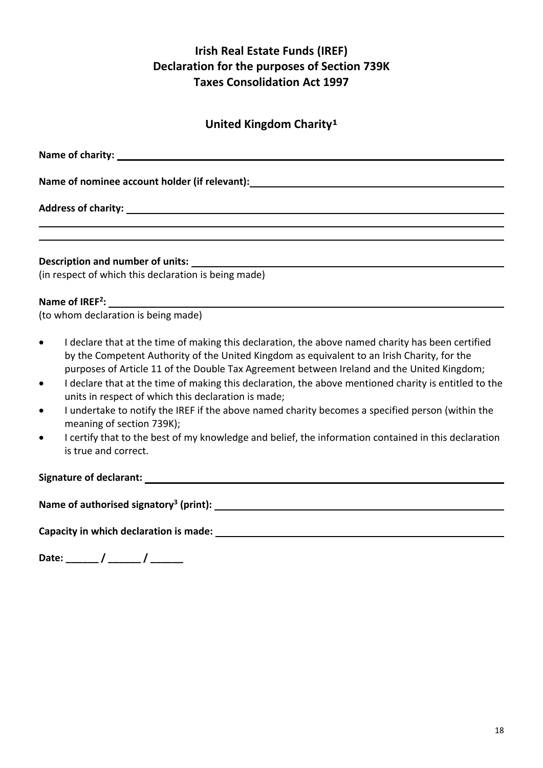# <span id="page-17-0"></span>**United Kingdom Charity<sup>1</sup>**

| Name of nominee account holder (if relevant): __________________________________                                                                                                                                                                                                                                                                                                                                                                                                                                                                                                                                                                                                                                                                                       |
|------------------------------------------------------------------------------------------------------------------------------------------------------------------------------------------------------------------------------------------------------------------------------------------------------------------------------------------------------------------------------------------------------------------------------------------------------------------------------------------------------------------------------------------------------------------------------------------------------------------------------------------------------------------------------------------------------------------------------------------------------------------------|
| ,我们也不会有什么。""我们的人,我们也不会有什么?""我们的人,我们也不会有什么?""我们的人,我们也不会有什么?""我们的人,我们也不会有什么?""我们的人                                                                                                                                                                                                                                                                                                                                                                                                                                                                                                                                                                                                                                                                                       |
| ,我们也不会有什么。""我们的人,我们也不会有什么?""我们的人,我们也不会有什么?""我们的人,我们也不会有什么?""我们的人,我们也不会有什么?""我们的人                                                                                                                                                                                                                                                                                                                                                                                                                                                                                                                                                                                                                                                                                       |
| (in respect of which this declaration is being made)                                                                                                                                                                                                                                                                                                                                                                                                                                                                                                                                                                                                                                                                                                                   |
|                                                                                                                                                                                                                                                                                                                                                                                                                                                                                                                                                                                                                                                                                                                                                                        |
| Name of $IREF^2$ : $\qquad \qquad$                                                                                                                                                                                                                                                                                                                                                                                                                                                                                                                                                                                                                                                                                                                                     |
| (to whom declaration is being made)                                                                                                                                                                                                                                                                                                                                                                                                                                                                                                                                                                                                                                                                                                                                    |
| I declare that at the time of making this declaration, the above named charity has been certified<br>$\bullet$<br>by the Competent Authority of the United Kingdom as equivalent to an Irish Charity, for the<br>purposes of Article 11 of the Double Tax Agreement between Ireland and the United Kingdom;<br>I declare that at the time of making this declaration, the above mentioned charity is entitled to the<br>$\bullet$<br>units in respect of which this declaration is made;<br>I undertake to notify the IREF if the above named charity becomes a specified person (within the<br>$\bullet$<br>meaning of section 739K);<br>I certify that to the best of my knowledge and belief, the information contained in this declaration<br>is true and correct. |
|                                                                                                                                                                                                                                                                                                                                                                                                                                                                                                                                                                                                                                                                                                                                                                        |
| Name of authorised signatory <sup>3</sup> (print): $\qquad \qquad$                                                                                                                                                                                                                                                                                                                                                                                                                                                                                                                                                                                                                                                                                                     |
|                                                                                                                                                                                                                                                                                                                                                                                                                                                                                                                                                                                                                                                                                                                                                                        |
| Date: ______/ ______/ _______                                                                                                                                                                                                                                                                                                                                                                                                                                                                                                                                                                                                                                                                                                                                          |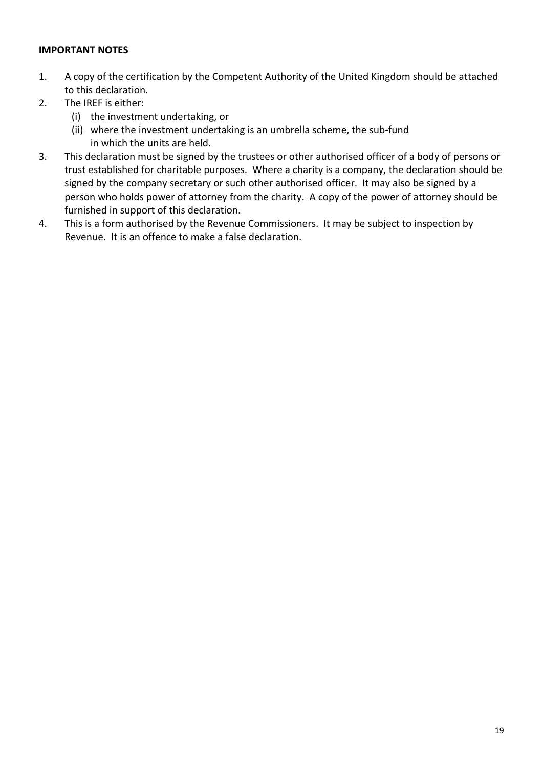- 1. A copy of the certification by the Competent Authority of the United Kingdom should be attached to this declaration.
- 2. The IREF is either:
	- (i) the investment undertaking, or
	- (ii) where the investment undertaking is an umbrella scheme, the sub-fund in which the units are held.
- 3. This declaration must be signed by the trustees or other authorised officer of a body of persons or trust established for charitable purposes. Where a charity is a company, the declaration should be signed by the company secretary or such other authorised officer. It may also be signed by a person who holds power of attorney from the charity. A copy of the power of attorney should be furnished in support of this declaration.
- 4. This is a form authorised by the Revenue Commissioners. It may be subject to inspection by Revenue. It is an offence to make a false declaration.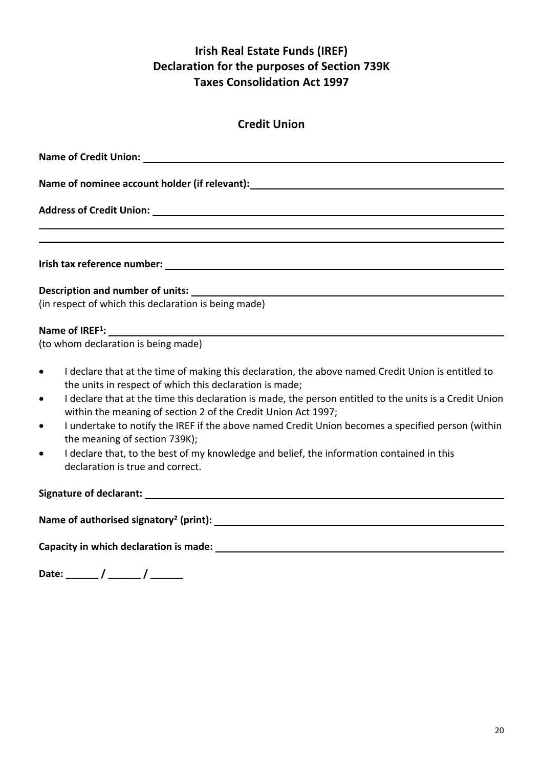<span id="page-19-0"></span>

| Name of nominee account holder (if relevant): Name of nominal systems of nominee account holder                                                                                                                                                                                                                                                                                                                                                                                                                                                                                                                                                                      |
|----------------------------------------------------------------------------------------------------------------------------------------------------------------------------------------------------------------------------------------------------------------------------------------------------------------------------------------------------------------------------------------------------------------------------------------------------------------------------------------------------------------------------------------------------------------------------------------------------------------------------------------------------------------------|
| Address of Credit Union: Note that the contract of the contract of the contract of the contract of the contract of the contract of the contract of the contract of the contract of the contract of the contract of the contrac                                                                                                                                                                                                                                                                                                                                                                                                                                       |
|                                                                                                                                                                                                                                                                                                                                                                                                                                                                                                                                                                                                                                                                      |
|                                                                                                                                                                                                                                                                                                                                                                                                                                                                                                                                                                                                                                                                      |
|                                                                                                                                                                                                                                                                                                                                                                                                                                                                                                                                                                                                                                                                      |
| (in respect of which this declaration is being made)                                                                                                                                                                                                                                                                                                                                                                                                                                                                                                                                                                                                                 |
|                                                                                                                                                                                                                                                                                                                                                                                                                                                                                                                                                                                                                                                                      |
|                                                                                                                                                                                                                                                                                                                                                                                                                                                                                                                                                                                                                                                                      |
| I declare that at the time of making this declaration, the above named Credit Union is entitled to<br>$\bullet$<br>the units in respect of which this declaration is made;<br>I declare that at the time this declaration is made, the person entitled to the units is a Credit Union<br>$\bullet$<br>within the meaning of section 2 of the Credit Union Act 1997;<br>I undertake to notify the IREF if the above named Credit Union becomes a specified person (within<br>$\bullet$<br>the meaning of section 739K);<br>I declare that, to the best of my knowledge and belief, the information contained in this<br>$\bullet$<br>declaration is true and correct. |
|                                                                                                                                                                                                                                                                                                                                                                                                                                                                                                                                                                                                                                                                      |
|                                                                                                                                                                                                                                                                                                                                                                                                                                                                                                                                                                                                                                                                      |
|                                                                                                                                                                                                                                                                                                                                                                                                                                                                                                                                                                                                                                                                      |
| Date: _____/ _____/ ______                                                                                                                                                                                                                                                                                                                                                                                                                                                                                                                                                                                                                                           |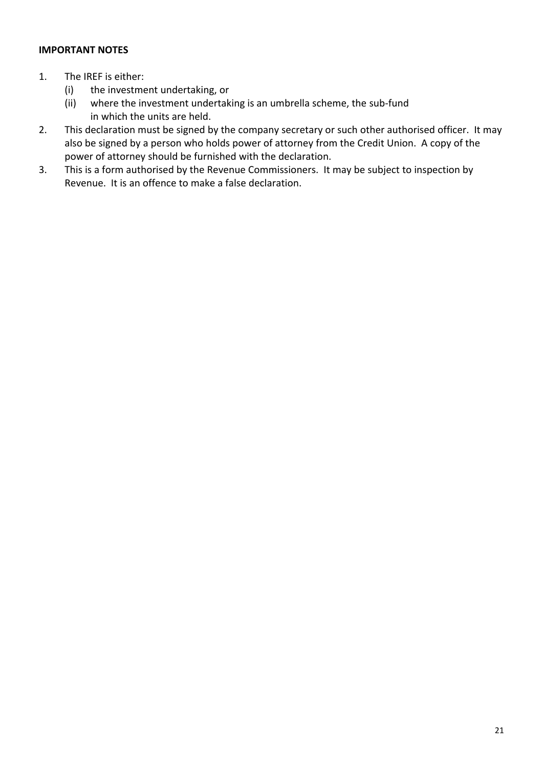- 1. The IREF is either:
	- (i) the investment undertaking, or
	- (ii) where the investment undertaking is an umbrella scheme, the sub-fund in which the units are held.
- 2. This declaration must be signed by the company secretary or such other authorised officer. It may also be signed by a person who holds power of attorney from the Credit Union. A copy of the power of attorney should be furnished with the declaration.
- 3. This is a form authorised by the Revenue Commissioners. It may be subject to inspection by Revenue. It is an offence to make a false declaration.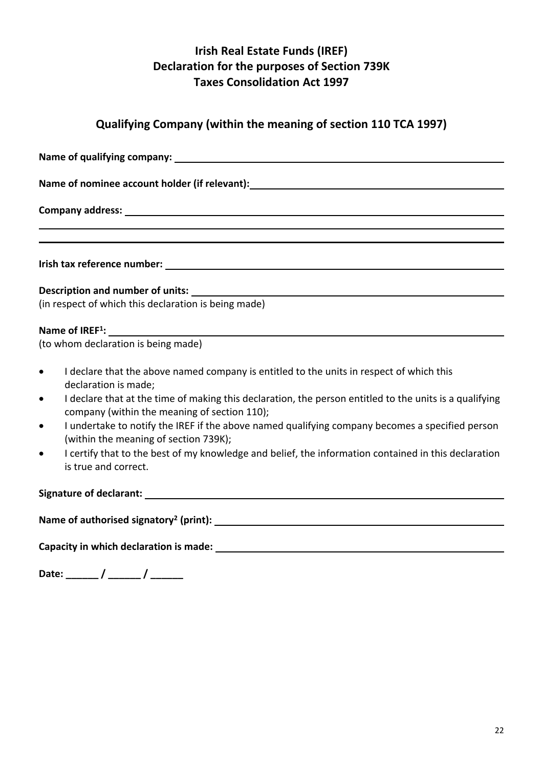# <span id="page-21-0"></span>**Qualifying Company (within the meaning of section 110 TCA 1997)**

| Name of nominee account holder (if relevant): __________________________________                                                                                     |  |  |  |
|----------------------------------------------------------------------------------------------------------------------------------------------------------------------|--|--|--|
|                                                                                                                                                                      |  |  |  |
| ,我们也不会有什么?""我们的人,我们也不会有什么?""我们的人,我们也不会有什么?""我们的人,我们也不会有什么?""我们的人,我们也不会有什么?""我们的人                                                                                     |  |  |  |
| <u> 1989 - Johann Stoff, amerikansk politiker (d. 1989)</u>                                                                                                          |  |  |  |
|                                                                                                                                                                      |  |  |  |
| Description and number of units:                                                                                                                                     |  |  |  |
| (in respect of which this declaration is being made)                                                                                                                 |  |  |  |
|                                                                                                                                                                      |  |  |  |
| (to whom declaration is being made)                                                                                                                                  |  |  |  |
| I declare that the above named company is entitled to the units in respect of which this<br>$\bullet$<br>declaration is made;                                        |  |  |  |
| I declare that at the time of making this declaration, the person entitled to the units is a qualifying<br>$\bullet$<br>company (within the meaning of section 110); |  |  |  |
| I undertake to notify the IREF if the above named qualifying company becomes a specified person<br>$\bullet$<br>(within the meaning of section 739K);                |  |  |  |
| I certify that to the best of my knowledge and belief, the information contained in this declaration<br>$\bullet$<br>is true and correct.                            |  |  |  |
|                                                                                                                                                                      |  |  |  |
|                                                                                                                                                                      |  |  |  |
|                                                                                                                                                                      |  |  |  |
| Date: ______ / ______ / ______                                                                                                                                       |  |  |  |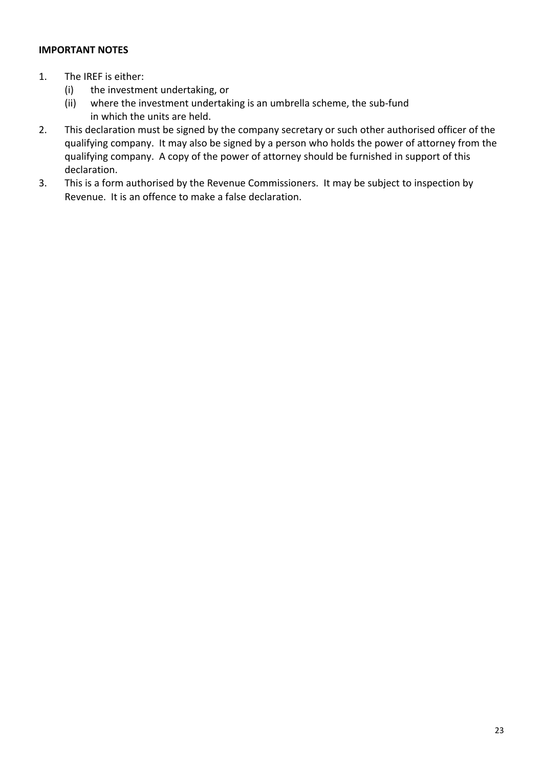- 1. The IREF is either:
	- (i) the investment undertaking, or
	- (ii) where the investment undertaking is an umbrella scheme, the sub-fund in which the units are held.
- 2. This declaration must be signed by the company secretary or such other authorised officer of the qualifying company. It may also be signed by a person who holds the power of attorney from the qualifying company. A copy of the power of attorney should be furnished in support of this declaration.
- 3. This is a form authorised by the Revenue Commissioners. It may be subject to inspection by Revenue. It is an offence to make a false declaration.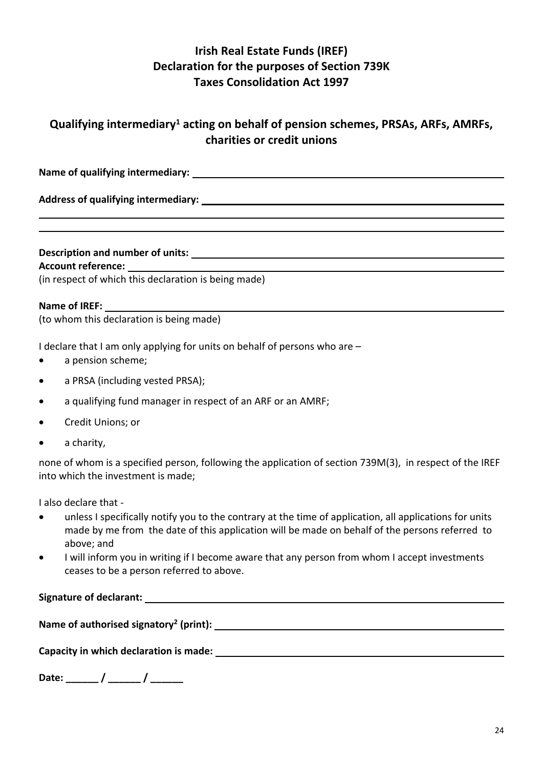### <span id="page-23-0"></span>**Qualifying intermediary<sup>1</sup> acting on behalf of pension schemes, PRSAs, ARFs, AMRFs, charities or credit unions**

**Name of qualifying intermediary:**

**Address of qualifying intermediary:**

### **Description and number of units:**

#### **Account reference:**

(in respect of which this declaration is being made)

#### **Name of IREF:**

(to whom this declaration is being made)

I declare that I am only applying for units on behalf of persons who are –

- a pension scheme;
- a PRSA (including vested PRSA);
- a qualifying fund manager in respect of an ARF or an AMRF;
- Credit Unions; or
- a charity,

none of whom is a specified person, following the application of section 739M(3), in respect of the IREF into which the investment is made;

I also declare that -

- unless I specifically notify you to the contrary at the time of application, all applications for units made by me from the date of this application will be made on behalf of the persons referred to above; and
- I will inform you in writing if I become aware that any person from whom I accept investments ceases to be a person referred to above.

**Signature of declarant:**

**Name of authorised signatory<sup>2</sup> (print):**

**Capacity in which declaration is made:**

| Date: |  |  |
|-------|--|--|
|-------|--|--|